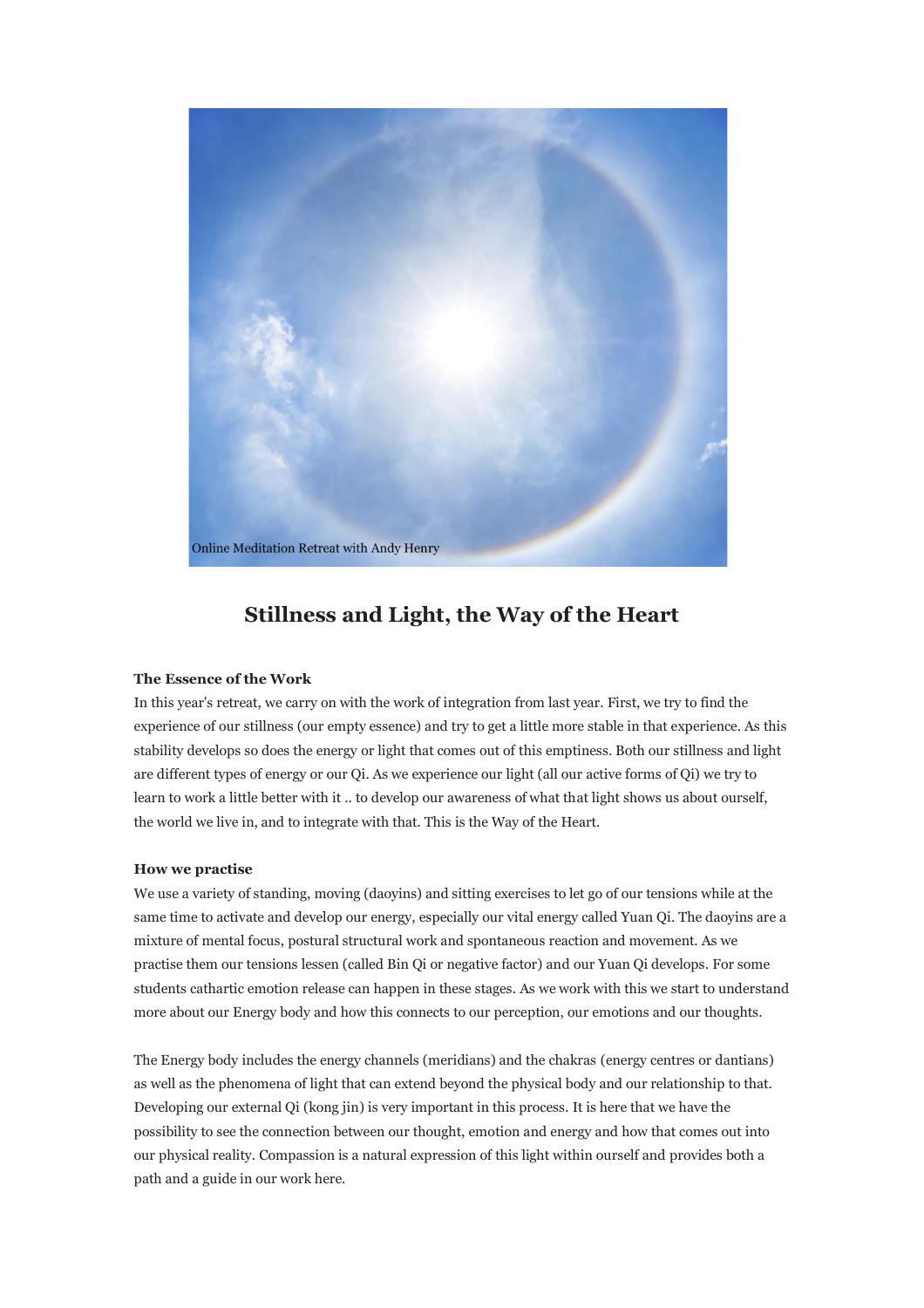

# **Stillness and Light, the Way of the Heart**

## **The Essence of the Work**

In this year's retreat, we carry on with the work of integration from last year. First, we try to find the experience of our stillness (our empty essence) and try to get a little more stable in that experience. As this stability develops so does the energy or light that comes out of this emptiness. Both our stillness and light are different types of energy or our Qi. As we experience our light (all our active forms of Qi) we try to learn to work a little better with it .. to develop our awareness of what that light shows us about ourself, the world we live in, and to integrate with that. This is the Way of the Heart.

## **How we practise**

We use a variety of standing, moving (daoyins) and sitting exercises to let go of our tensions while at the same time to activate and develop our energy, especially our vital energy called Yuan Qi. The daoyins are a mixture of mental focus, postural structural work and spontaneous reaction and movement. As we practise them our tensions lessen (called Bin Qi or negative factor) and our Yuan Qi develops. For some students cathartic emotion release can happen in these stages. As we work with this we start to understand more about our Energy body and how this connects to our perception, our emotions and our thoughts.

The Energy body includes the energy channels (meridians) and the chakras (energy centres or dantians) as well as the phenomena of light that can extend beyond the physical body and our relationship to that. Developing our external Qi (kong jin) is very important in this process. It is here that we have the possibility to see the connection between our thought, emotion and energy and how that comes out into our physical reality. Compassion is a natural expression of this light within ourself and provides both a path and a guide in our work here.